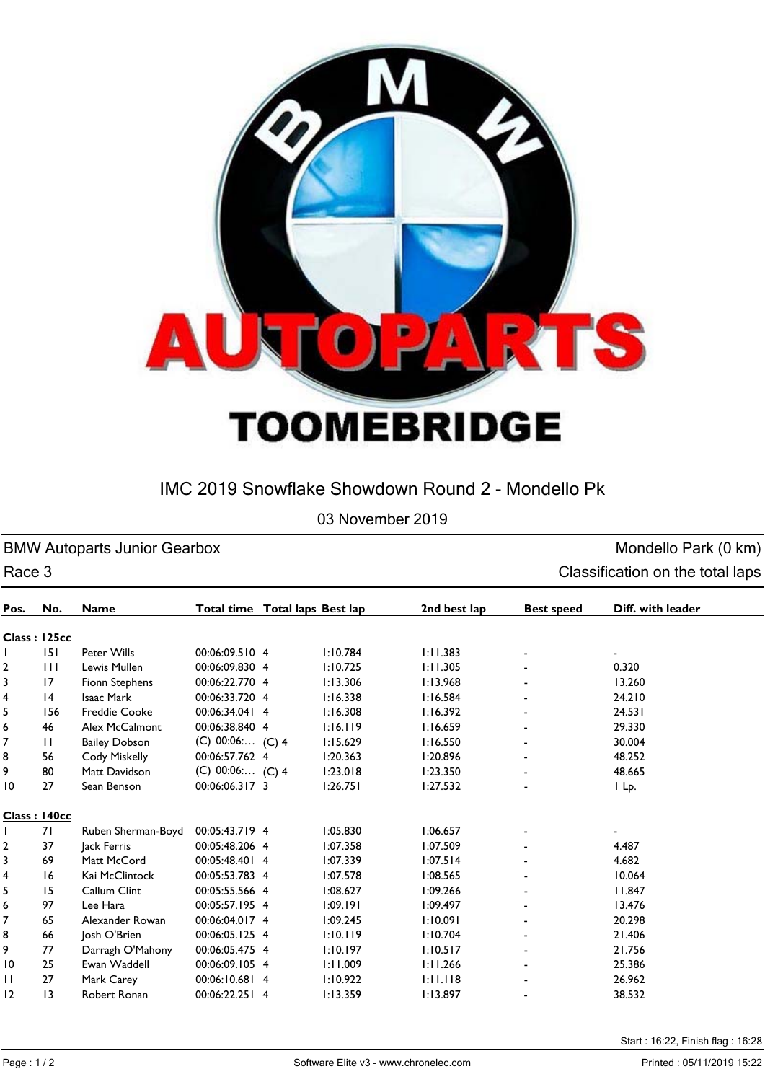

## IMC 2019 Snowflake Showdown Round 2 - Mondello Pk

03 November 2019

## BMW Autoparts Junior Gearbox **Mondello Park (0 km)** and the Mondello Park (0 km)

| Race 3 |              |                      |                                |          |              |                          | Classification on the total laps |
|--------|--------------|----------------------|--------------------------------|----------|--------------|--------------------------|----------------------------------|
| Pos.   | No.          | <b>Name</b>          | Total time Total laps Best lap |          | 2nd best lap | <b>Best speed</b>        | Diff. with leader                |
|        | Class: 125cc |                      |                                |          |              |                          |                                  |
|        | 151          | Peter Wills          | 00:06:09.510 4                 | 1:10.784 | 1:11.383     | $\overline{\phantom{0}}$ | ۰.                               |
|        | $\mathbf{H}$ | Lewis Mullen         | 00:06:09.830 4                 | 1:10.725 | 1:11.305     |                          | 0.320                            |
| 3      | 17           | Fionn Stephens       | 00:06:22.770 4                 | 1:13.306 | 1:13.968     |                          | 13.260                           |
| 4      | 4            | Isaac Mark           | 00:06:33.720 4                 | 1:16.338 | 1:16.584     | $\blacksquare$           | 24.210                           |
| 5      | 156          | <b>Freddie Cooke</b> | 00:06:34.041 4                 | 1:16.308 | 1:16.392     |                          | 24.531                           |
| 6      | 46           | Alex McCalmont       | 00:06:38.840 4                 | 1:16.119 | 1:16.659     | $\blacksquare$           | 29.330                           |
| 7      | $\mathbf{H}$ | <b>Bailey Dobson</b> | $(C)$ 00:06: $(C)$ 4           | 1:15.629 | 1:16.550     | $\blacksquare$           | 30.004                           |
| 8      | 56           | Cody Miskelly        | 00:06:57.762 4                 | 1:20.363 | 1:20.896     | $\overline{\phantom{0}}$ | 48.252                           |
| 9      | 80           | Matt Davidson        | $(C)$ 00:06: $(C)$ 4           | 1:23.018 | 1:23.350     | ۰.                       | 48.665                           |
| 10     | 27           | Sean Benson          | 00:06:06.317 3                 | 1:26.751 | 1:27.532     |                          | I Lp.                            |
|        |              |                      |                                |          |              |                          |                                  |

|                | Class: 140cc |                    |                |          |          |                          |
|----------------|--------------|--------------------|----------------|----------|----------|--------------------------|
| Ι.             | 71           | Ruben Sherman-Boyd | 00:05:43.719 4 | 1:05.830 | 1:06.657 | $\overline{\phantom{a}}$ |
| $\overline{2}$ | 37           | lack Ferris        | 00:05:48.206 4 | 1:07.358 | 1:07.509 | 4.487                    |
| 3              | 69           | Matt McCord        | 00:05:48.401 4 | 1:07.339 | 1:07.514 | 4.682                    |
| 4              | 16           | Kai McClintock     | 00:05:53.783 4 | 1:07.578 | 1:08.565 | 10.064                   |
| 5              | 15           | Callum Clint       | 00:05:55.566 4 | 1:08.627 | 1:09.266 | 11.847                   |
| 6              | 97           | Lee Hara           | 00:05:57.195 4 | 1:09.191 | 1:09.497 | 13.476                   |
| 7              | 65           | Alexander Rowan    | 00:06:04.017 4 | 1:09.245 | 1:10.091 | 20.298                   |
| 8              | 66           | Josh O'Brien       | 00:06:05.125 4 | 1:10.119 | 1:10.704 | 21.406                   |
| 9              | 77           | Darragh O'Mahony   | 00:06:05.475 4 | 1:10.197 | 1:10.517 | 21.756                   |
| 10             | 25           | Ewan Waddell       | 00:06:09.105 4 | 1:11.009 | 1:11.266 | 25.386                   |
| $\mathbf{H}$   | 27           | Mark Carey         | 00:06:10.681 4 | 1:10.922 | 1:11.118 | 26.962                   |
| 12             | 13           | Robert Ronan       | 00:06:22.251 4 | 1:13.359 | 1:13.897 | 38.532                   |